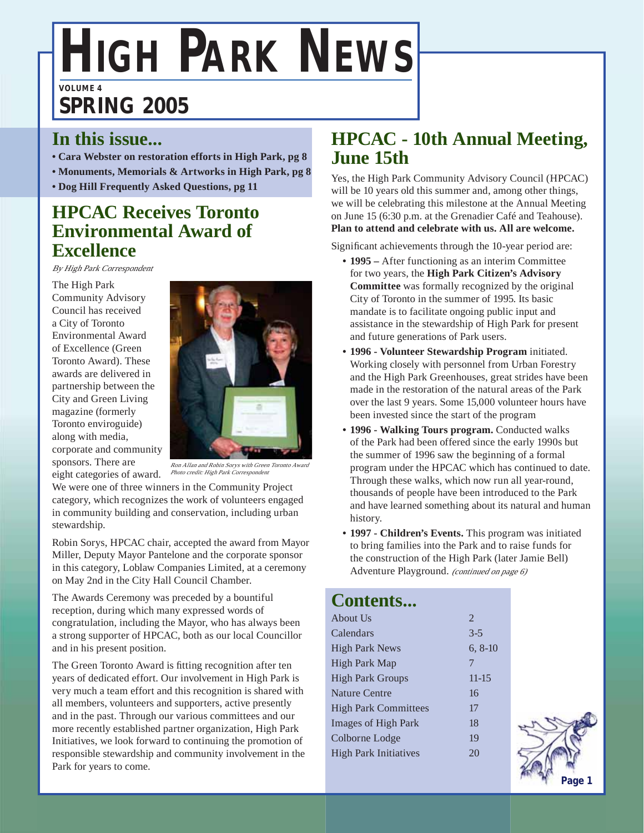# **HIGH PARK NEWS**

**VOLUME 4**

# **SPRING 2005**

### **In this issue...**

**• Cara Webster on restoration efforts in High Park, pg 8**

**• Monuments, Memorials & Artworks in High Park, pg 8**

**• Dog Hill Frequently Asked Questions, pg 11**

#### **HPCAC Receives Toronto Environmental Award of Excellence**

By High Park Correspondent

The High Park Community Advisory Council has received a City of Toronto Environmental Award of Excellence (Green Toronto Award). These awards are delivered in partnership between the City and Green Living magazine (formerly Toronto enviroguide) along with media, corporate and community sponsors. There are eight categories of award.



Ron Allan and Robin Sorys with Green Toronto Award Photo credit: High Park Correspondent

We were one of three winners in the Community Project category, which recognizes the work of volunteers engaged in community building and conservation, including urban stewardship.

Robin Sorys, HPCAC chair, accepted the award from Mayor Miller, Deputy Mayor Pantelone and the corporate sponsor in this category, Loblaw Companies Limited, at a ceremony on May 2nd in the City Hall Council Chamber.

The Awards Ceremony was preceded by a bountiful reception, during which many expressed words of congratulation, including the Mayor, who has always been a strong supporter of HPCAC, both as our local Councillor and in his present position.

The Green Toronto Award is fitting recognition after ten years of dedicated effort. Our involvement in High Park is very much a team effort and this recognition is shared with all members, volunteers and supporters, active presently and in the past. Through our various committees and our more recently established partner organization, High Park Initiatives, we look forward to continuing the promotion of responsible stewardship and community involvement in the Park for years to come.

### **HPCAC - 10th Annual Meeting, June 15th**

Yes, the High Park Community Advisory Council (HPCAC) will be 10 years old this summer and, among other things, we will be celebrating this milestone at the Annual Meeting on June 15 (6:30 p.m. at the Grenadier Café and Teahouse). **Plan to attend and celebrate with us. All are welcome.**

Significant achievements through the 10-year period are:

- **1995** After functioning as an interim Committee for two years, the **High Park Citizen's Advisory Committee** was formally recognized by the original City of Toronto in the summer of 1995. Its basic mandate is to facilitate ongoing public input and assistance in the stewardship of High Park for present and future generations of Park users.
- **1996 Volunteer Stewardship Program** initiated. Working closely with personnel from Urban Forestry and the High Park Greenhouses, great strides have been made in the restoration of the natural areas of the Park over the last 9 years. Some 15,000 volunteer hours have been invested since the start of the program
- **1996 Walking Tours program.** Conducted walks of the Park had been offered since the early 1990s but the summer of 1996 saw the beginning of a formal program under the HPCAC which has continued to date. Through these walks, which now run all year-round, thousands of people have been introduced to the Park and have learned something about its natural and human history.
- **1997 Children's Events.** This program was initiated to bring families into the Park and to raise funds for the construction of the High Park (later Jamie Bell) Adventure Playground. (continued on page 6)

### **Contents...**

| About Us                     | $\mathfrak{D}$ |
|------------------------------|----------------|
| Calendars                    | $3 - 5$        |
| High Park News               | $6, 8-10$      |
| <b>High Park Map</b>         | 7              |
| <b>High Park Groups</b>      | $11 - 15$      |
| Nature Centre                | 16             |
| <b>High Park Committees</b>  | 17             |
| Images of High Park          | 18             |
| Colborne Lodge               | 19             |
| <b>High Park Initiatives</b> | 20             |
|                              |                |

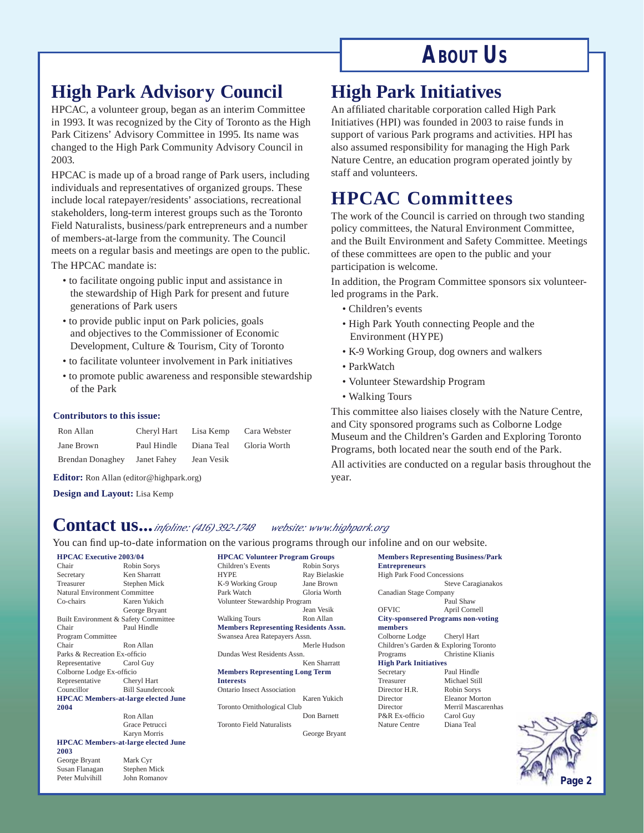### **ABOUT US**

### **High Park Advisory Council**

HPCAC, a volunteer group, began as an interim Committee in 1993. It was recognized by the City of Toronto as the High Park Citizens' Advisory Committee in 1995. Its name was changed to the High Park Community Advisory Council in 2003.

HPCAC is made up of a broad range of Park users, including individuals and representatives of organized groups. These include local ratepayer/residents' associations, recreational stakeholders, long-term interest groups such as the Toronto Field Naturalists, business/park entrepreneurs and a number of members-at-large from the community. The Council meets on a regular basis and meetings are open to the public. The HPCAC mandate is:

- to facilitate ongoing public input and assistance in the stewardship of High Park for present and future generations of Park users
- to provide public input on Park policies, goals and objectives to the Commissioner of Economic Development, Culture & Tourism, City of Toronto
- to facilitate volunteer involvement in Park initiatives
- to promote public awareness and responsible stewardship of the Park

#### **Contributors to this issue:**

| Ron Allan        | Cheryl Hart | Lisa Kemp  | Cara Webster |
|------------------|-------------|------------|--------------|
| Jane Brown       | Paul Hindle | Diana Teal | Gloria Worth |
| Brendan Donaghey | Janet Fahey | Jean Vesik |              |

**Editor:** Ron Allan (editor@highpark.org)

**Design and Layout:** Lisa Kemp

#### **Contact us...***infoline: (416) 392-1748 website: www.highpark.org*

You can find up-to-date information on the various programs through our infoline and on our website.

Children's Events

**HPCAC Volunteer Program Groups**

Walking Tours **Ron Allan Members Representing Residents Assn.** Swansea Area Ratepayers Assn.

**Members Representing Long Term** 

Dundas West Residents Assn.

Ontario Insect Association

Toronto Ornithological Club

Toronto Field Naturalists

**Interests**

HYPE Ray Bielaskie K-9 Working Group Jane Brown Park Watch Gloria Worth Volunteer Stewardship Program

Jean Vesik

Merle Hudson

Ken Sharratt

Karen Yukich

Don Barnett

George Bryant

#### **HPCAC Executive 2003/04**

| TIT CAC EXECUTIVE 2005/04                  |                         |  |  |  |  |
|--------------------------------------------|-------------------------|--|--|--|--|
| Chair                                      | Robin Sorys             |  |  |  |  |
| Secretary                                  | Ken Sharratt            |  |  |  |  |
| Treasurer                                  | Stephen Mick            |  |  |  |  |
| Natural Environment Committee              |                         |  |  |  |  |
| Co-chairs                                  | Karen Yukich            |  |  |  |  |
|                                            | George Bryant           |  |  |  |  |
| Built Environment & Safety Committee       |                         |  |  |  |  |
| Chair                                      | Paul Hindle             |  |  |  |  |
| <b>Program Committee</b>                   |                         |  |  |  |  |
| Chair                                      | Ron Allan               |  |  |  |  |
| Parks & Recreation Ex-officio              |                         |  |  |  |  |
| Representative                             | Carol Guy               |  |  |  |  |
| Colborne Lodge Ex-officio                  |                         |  |  |  |  |
| Representative                             | Cheryl Hart             |  |  |  |  |
| Councillor                                 | <b>Bill Saundercook</b> |  |  |  |  |
| <b>HPCAC Members-at-large elected June</b> |                         |  |  |  |  |
| 2004                                       |                         |  |  |  |  |

 Ron Allan Grace Petrucci Karyn Morris

#### **HPCAC Members-at-large elected June 2003**

George Bryant Mark Cyr Susan Flanagan Stephen Mick<br>Peter Mulvihill John Romanov Peter Mulvihill

#### **High Park Initiatives**

An affiliated charitable corporation called High Park Initiatives (HPI) was founded in 2003 to raise funds in support of various Park programs and activities. HPI has also assumed responsibility for managing the High Park Nature Centre, an education program operated jointly by staff and volunteers.

#### **HPCAC Committees**

The work of the Council is carried on through two standing policy committees, the Natural Environment Committee, and the Built Environment and Safety Committee. Meetings of these committees are open to the public and your participation is welcome.

In addition, the Program Committee sponsors six volunteerled programs in the Park.

- Children's events
- High Park Youth connecting People and the Environment (HYPE)
- K-9 Working Group, dog owners and walkers
- ParkWatch
- Volunteer Stewardship Program
- Walking Tours

This committee also liaises closely with the Nature Centre, and City sponsored programs such as Colborne Lodge Museum and the Children's Garden and Exploring Toronto Programs, both located near the south end of the Park.

All activities are conducted on a regular basis throughout the year.

#### **Members Representing Business/Park Entrepreneurs**

High Park Food Concessions Steve Caragianakos Canadian Stage Company Paul Shaw<br>
OFVIC April Corn April Cornell **City-sponsered Programs non-voting members** Colborne Lodge Cheryl Hart Children's Garden & Exploring Toronto Programs Christine Klianis

**High Park Initiatives**

Secretary Paul Hindle Treasurer Michael Still

Director H.R. Robin Sorys Director Eleanor Morton Director Merril Mascarenhas P&R Ex-officio Carol Guy Nature Centre Diana Teal

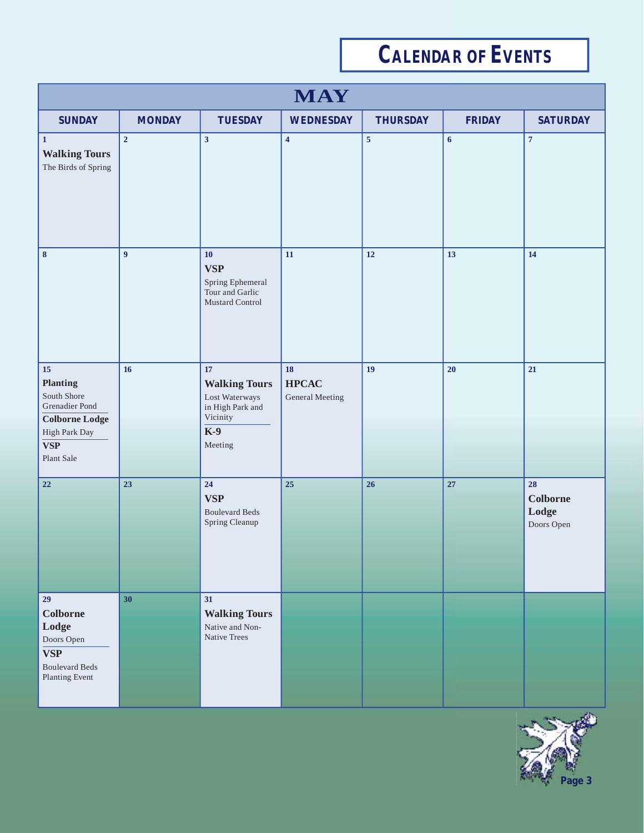# **CALENDAR OF EVENTS**

| <b>MAY</b>                                                                                                                                    |                |                                                                                                  |                                              |                         |                  |                                       |
|-----------------------------------------------------------------------------------------------------------------------------------------------|----------------|--------------------------------------------------------------------------------------------------|----------------------------------------------|-------------------------|------------------|---------------------------------------|
| <b>SUNDAY</b>                                                                                                                                 | <b>MONDAY</b>  | <b>TUESDAY</b>                                                                                   | <b>WEDNESDAY</b>                             | <b>THURSDAY</b>         | <b>FRIDAY</b>    | <b>SATURDAY</b>                       |
| $\vert$ 1<br><b>Walking Tours</b><br>The Birds of Spring                                                                                      | $\overline{2}$ | $\overline{\mathbf{3}}$                                                                          | $\overline{\mathbf{4}}$                      | $\overline{\mathbf{5}}$ | $\boldsymbol{6}$ | $\overline{7}$                        |
| 8                                                                                                                                             | $\overline{9}$ | 10<br><b>VSP</b><br>Spring Ephemeral<br>Tour and Garlic<br>Mustard Control                       | 11                                           | 12                      | 13               | 14                                    |
| $15\,$<br><b>Planting</b><br>South Shore<br>Grenadier Pond<br><b>Colborne Lodge</b><br>High Park Day<br>$\overline{\text{VSP}}$<br>Plant Sale | 16             | 17<br><b>Walking Tours</b><br>Lost Waterways<br>in High Park and<br>Vicinity<br>$K-9$<br>Meeting | 18<br><b>HPCAC</b><br><b>General Meeting</b> | 19                      | $20\,$           | 21                                    |
| 22                                                                                                                                            | 23             | 24<br><b>VSP</b><br><b>Boulevard Beds</b><br>Spring Cleanup                                      | 25                                           | 26                      | 27               | 28<br>Colborne<br>Lodge<br>Doors Open |
| 29<br><b>Colborne</b><br>Lodge<br>Doors Open<br><b>VSP</b><br><b>Boulevard Beds</b><br>Planting Event                                         | 30             | 31<br><b>Walking Tours</b><br>Native and Non-<br><b>Native Trees</b>                             |                                              |                         |                  |                                       |

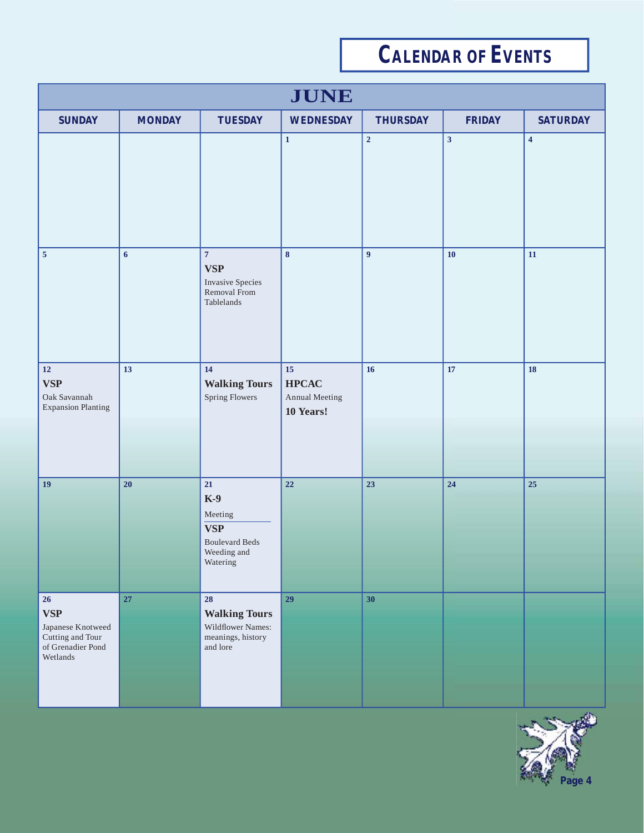# **CALENDAR OF EVENTS**

| <b>JUNE</b>                                                                                             |                  |                                                                                                  |                                                                 |                 |                         |                         |
|---------------------------------------------------------------------------------------------------------|------------------|--------------------------------------------------------------------------------------------------|-----------------------------------------------------------------|-----------------|-------------------------|-------------------------|
| <b>SUNDAY</b>                                                                                           | <b>MONDAY</b>    | <b>TUESDAY</b>                                                                                   | <b>WEDNESDAY</b>                                                | <b>THURSDAY</b> | <b>FRIDAY</b>           | <b>SATURDAY</b>         |
|                                                                                                         |                  |                                                                                                  | $\mathbf{1}$                                                    | $\mathbf 2$     | $\overline{\mathbf{3}}$ | $\overline{\mathbf{4}}$ |
| $\overline{\mathbf{5}}$                                                                                 | $\boldsymbol{6}$ | $\overline{\bf 7}$<br><b>VSP</b><br><b>Invasive Species</b><br>Removal From<br>Tablelands        | $\bf{8}$                                                        | $\overline{9}$  | 10                      | ${\bf 11}$              |
| ${\bf 12}$<br><b>VSP</b><br>Oak Savannah<br><b>Expansion Planting</b>                                   | 13               | 14<br><b>Walking Tours</b><br>Spring Flowers                                                     | $15\phantom{.0}$<br><b>HPCAC</b><br>Annual Meeting<br>10 Years! | 16              | 17                      | $18\,$                  |
| 19                                                                                                      | $20\,$           | 21<br>$K-9$<br>${\rm Meeting}$<br><b>VSP</b><br><b>Boulevard Beds</b><br>Weeding and<br>Watering | 22                                                              | 23              | 24                      | 25                      |
| $26\phantom{.}$<br><b>VSP</b><br>Japanese Knotweed<br>Cutting and Tour<br>of Grenadier Pond<br>Wetlands | 27               | 28<br><b>Walking Tours</b><br>Wildflower Names:<br>meanings, history<br>and lore                 | 29                                                              | 30              |                         |                         |

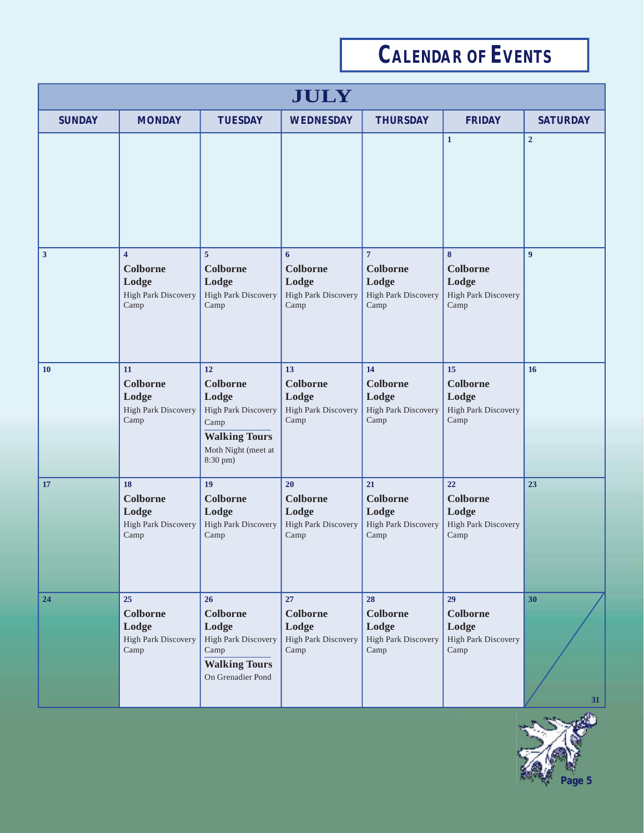# **CALENDAR OF EVENTS**

| <b>JULY</b>             |                                                                                    |                                                                                                                   |                                                                                   |                                                                           |                                                                      |                 |
|-------------------------|------------------------------------------------------------------------------------|-------------------------------------------------------------------------------------------------------------------|-----------------------------------------------------------------------------------|---------------------------------------------------------------------------|----------------------------------------------------------------------|-----------------|
| <b>SUNDAY</b>           | <b>MONDAY</b>                                                                      | <b>TUESDAY</b>                                                                                                    | <b>WEDNESDAY</b>                                                                  | <b>THURSDAY</b>                                                           | <b>FRIDAY</b>                                                        | <b>SATURDAY</b> |
|                         |                                                                                    |                                                                                                                   |                                                                                   |                                                                           | $\mathbf{1}$                                                         | $\overline{2}$  |
| $\overline{\mathbf{3}}$ | $\overline{\mathbf{4}}$<br>Colborne<br>Lodge<br><b>High Park Discovery</b><br>Camp | 5<br><b>Colborne</b><br>Lodge<br>High Park Discovery<br>Camp                                                      | 6<br><b>Colborne</b><br>Lodge<br><b>High Park Discovery</b><br>Camp               | $\overline{7}$<br><b>Colborne</b><br>Lodge<br>High Park Discovery<br>Camp | 8<br><b>Colborne</b><br>Lodge<br>High Park Discovery<br>Camp         | $\overline{9}$  |
| 10                      | 11<br><b>Colborne</b><br>Lodge<br>High Park Discovery<br>Camp                      | 12<br>Colborne<br>Lodge<br>High Park Discovery<br>Camp<br><b>Walking Tours</b><br>Moth Night (meet at<br>8:30 pm) | 13<br><b>Colborne</b><br>Lodge<br><b>High Park Discovery</b><br>Camp              | 14<br><b>Colborne</b><br>Lodge<br>High Park Discovery<br>Camp             | 15<br><b>Colborne</b><br>Lodge<br>High Park Discovery<br>Camp        | 16              |
| 17                      | 18<br><b>Colborne</b><br>Lodge<br><b>High Park Discovery</b><br>Camp               | 19<br><b>Colborne</b><br>Lodge<br><b>High Park Discovery</b><br>Camp                                              | 20 <sup>2</sup><br><b>Colborne</b><br>Lodge<br><b>High Park Discovery</b><br>Camp | 21<br><b>Colborne</b><br>Lodge<br>High Park Discovery<br>Camp             | 22<br><b>Colborne</b><br>Lodge<br><b>High Park Discovery</b><br>Camp | 23              |
| 24                      | 25<br><b>Colborne</b><br>Lodge<br><b>High Park Discovery</b><br>Camp               | 26<br><b>Colborne</b><br>Lodge<br>High Park Discovery<br>Camp<br><b>Walking Tours</b><br>On Grenadier Pond        | 27<br><b>Colborne</b><br>Lodge<br><b>High Park Discovery</b><br>Camp              | 28<br><b>Colborne</b><br>Lodge<br>High Park Discovery<br>Camp             | 29<br><b>Colborne</b><br>Lodge<br>High Park Discovery<br>Camp        | 30<br>31        |

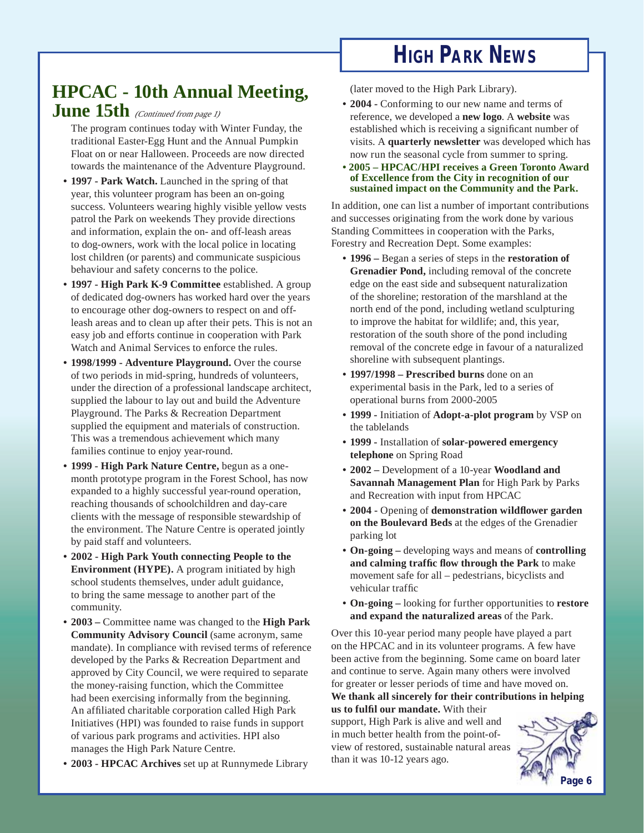## **HIGH PARK NEWS**

### **HPCAC - 10th Annual Meeting, June 15th** (Continued from page 1)

The program continues today with Winter Funday, the traditional Easter-Egg Hunt and the Annual Pumpkin Float on or near Halloween. Proceeds are now directed towards the maintenance of the Adventure Playground.

- **1997 Park Watch.** Launched in the spring of that year, this volunteer program has been an on-going success. Volunteers wearing highly visible yellow vests patrol the Park on weekends They provide directions and information, explain the on- and off-leash areas to dog-owners, work with the local police in locating lost children (or parents) and communicate suspicious behaviour and safety concerns to the police.
- **1997 High Park K-9 Committee** established. A group of dedicated dog-owners has worked hard over the years to encourage other dog-owners to respect on and offleash areas and to clean up after their pets. This is not an easy job and efforts continue in cooperation with Park Watch and Animal Services to enforce the rules.
- **1998/1999 Adventure Playground.** Over the course of two periods in mid-spring, hundreds of volunteers, under the direction of a professional landscape architect, supplied the labour to lay out and build the Adventure Playground. The Parks & Recreation Department supplied the equipment and materials of construction. This was a tremendous achievement which many families continue to enjoy year-round.
- **1999 High Park Nature Centre,** begun as a onemonth prototype program in the Forest School, has now expanded to a highly successful year-round operation, reaching thousands of schoolchildren and day-care clients with the message of responsible stewardship of the environment. The Nature Centre is operated jointly by paid staff and volunteers.
- **2002 High Park Youth connecting People to the Environment (HYPE).** A program initiated by high school students themselves, under adult guidance, to bring the same message to another part of the community.
- **2003** Committee name was changed to the **High Park Community Advisory Council** (same acronym, same mandate). In compliance with revised terms of reference developed by the Parks & Recreation Department and approved by City Council, we were required to separate the money-raising function, which the Committee had been exercising informally from the beginning. An affiliated charitable corporation called High Park Initiatives (HPI) was founded to raise funds in support of various park programs and activities. HPI also manages the High Park Nature Centre.
- **2003 HPCAC Archives** set up at Runnymede Library

(later moved to the High Park Library).

- **2004 -** Conforming to our new name and terms of reference, we developed a **new logo**. A **website** was established which is receiving a significant number of visits. A **quarterly newsletter** was developed which has now run the seasonal cycle from summer to spring.
- **2005 HPCAC/HPI receives a Green Toronto Award of Excellence from the City in recognition of our sustained impact on the Community and the Park.**

In addition, one can list a number of important contributions and successes originating from the work done by various Standing Committees in cooperation with the Parks, Forestry and Recreation Dept. Some examples:

- **1996 –** Began a series of steps in the **restoration of Grenadier Pond,** including removal of the concrete edge on the east side and subsequent naturalization of the shoreline; restoration of the marshland at the north end of the pond, including wetland sculpturing to improve the habitat for wildlife; and, this year, restoration of the south shore of the pond including removal of the concrete edge in favour of a naturalized shoreline with subsequent plantings.
- **1997/1998 Prescribed burns** done on an experimental basis in the Park, led to a series of operational burns from 2000-2005
- **1999 -** Initiation of **Adopt-a-plot program** by VSP on the tablelands
- **1999** Installation of **solar-powered emergency telephone** on Spring Road
- **2002 –** Development of a 10-year **Woodland and Savannah Management Plan** for High Park by Parks and Recreation with input from HPCAC
- **2004** Opening of **demonstration wildfl ower garden on the Boulevard Beds** at the edges of the Grenadier parking lot
- **On-going** developing ways and means of **controlling and calming traffic flow through the Park** to make movement safe for all – pedestrians, bicyclists and vehicular traffic
- **On-going** looking for further opportunities to **restore and expand the naturalized areas** of the Park.

Over this 10-year period many people have played a part on the HPCAC and in its volunteer programs. A few have been active from the beginning. Some came on board later and continue to serve. Again many others were involved for greater or lesser periods of time and have moved on. **We thank all sincerely for their contributions in helping us to fulfil our mandate.** With their

support, High Park is alive and well and in much better health from the point-ofview of restored, sustainable natural areas than it was 10-12 years ago.

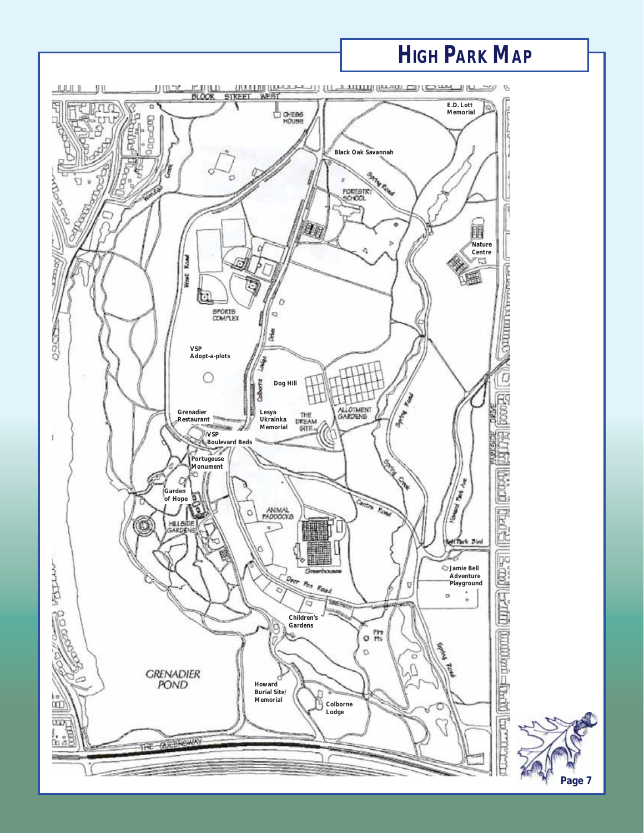### **HIGH PARK MAP**



**Page 7**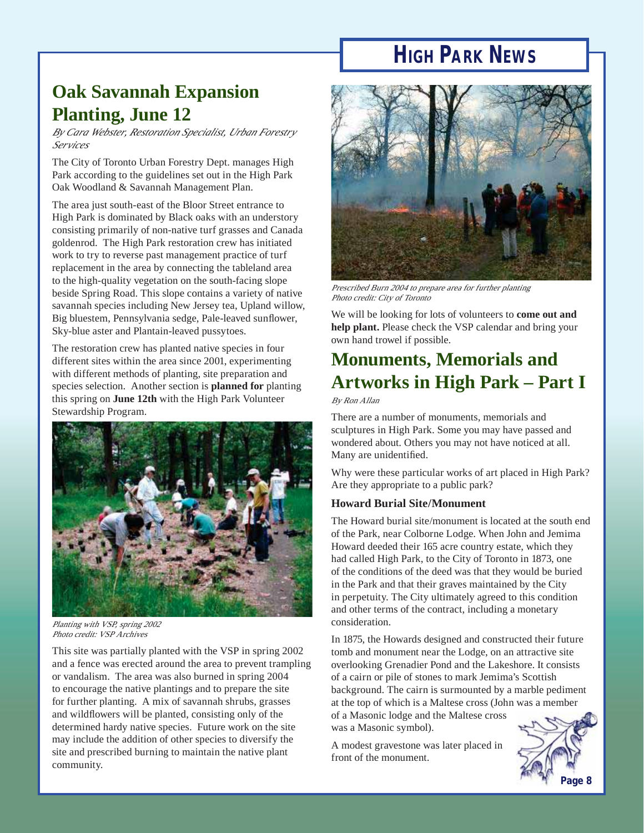## **HIGH PARK NEWS**

### **Oak Savannah Expansion Planting, June 12**

*By Cara Webster, Restoration Specialist, Urban Forestry Services*

The City of Toronto Urban Forestry Dept. manages High Park according to the guidelines set out in the High Park Oak Woodland & Savannah Management Plan.

The area just south-east of the Bloor Street entrance to High Park is dominated by Black oaks with an understory consisting primarily of non-native turf grasses and Canada goldenrod. The High Park restoration crew has initiated work to try to reverse past management practice of turf replacement in the area by connecting the tableland area to the high-quality vegetation on the south-facing slope beside Spring Road. This slope contains a variety of native savannah species including New Jersey tea, Upland willow, Big bluestem, Pennsylvania sedge, Pale-leaved sunflower, Sky-blue aster and Plantain-leaved pussytoes.

The restoration crew has planted native species in four different sites within the area since 2001, experimenting with different methods of planting, site preparation and species selection. Another section is **planned for** planting this spring on **June 12th** with the High Park Volunteer Stewardship Program.



Planting with VSP, spring 2002 Photo credit: VSP Archives

This site was partially planted with the VSP in spring 2002 and a fence was erected around the area to prevent trampling or vandalism. The area was also burned in spring 2004 to encourage the native plantings and to prepare the site for further planting. A mix of savannah shrubs, grasses and wildflowers will be planted, consisting only of the determined hardy native species. Future work on the site may include the addition of other species to diversify the site and prescribed burning to maintain the native plant community.



Prescribed Burn 2004 to prepare area for further planting Photo credit: City of Toronto

We will be looking for lots of volunteers to **come out and help plant.** Please check the VSP calendar and bring your own hand trowel if possible.

### **Monuments, Memorials and Artworks in High Park – Part I**

By Ron Allan

There are a number of monuments, memorials and sculptures in High Park. Some you may have passed and wondered about. Others you may not have noticed at all. Many are unidentified.

Why were these particular works of art placed in High Park? Are they appropriate to a public park?

#### **Howard Burial Site/Monument**

The Howard burial site/monument is located at the south end of the Park, near Colborne Lodge. When John and Jemima Howard deeded their 165 acre country estate, which they had called High Park, to the City of Toronto in 1873, one of the conditions of the deed was that they would be buried in the Park and that their graves maintained by the City in perpetuity. The City ultimately agreed to this condition and other terms of the contract, including a monetary consideration.

In 1875, the Howards designed and constructed their future tomb and monument near the Lodge, on an attractive site overlooking Grenadier Pond and the Lakeshore. It consists of a cairn or pile of stones to mark Jemima's Scottish background. The cairn is surmounted by a marble pediment at the top of which is a Maltese cross (John was a member

of a Masonic lodge and the Maltese cross was a Masonic symbol).

A modest gravestone was later placed in front of the monument.

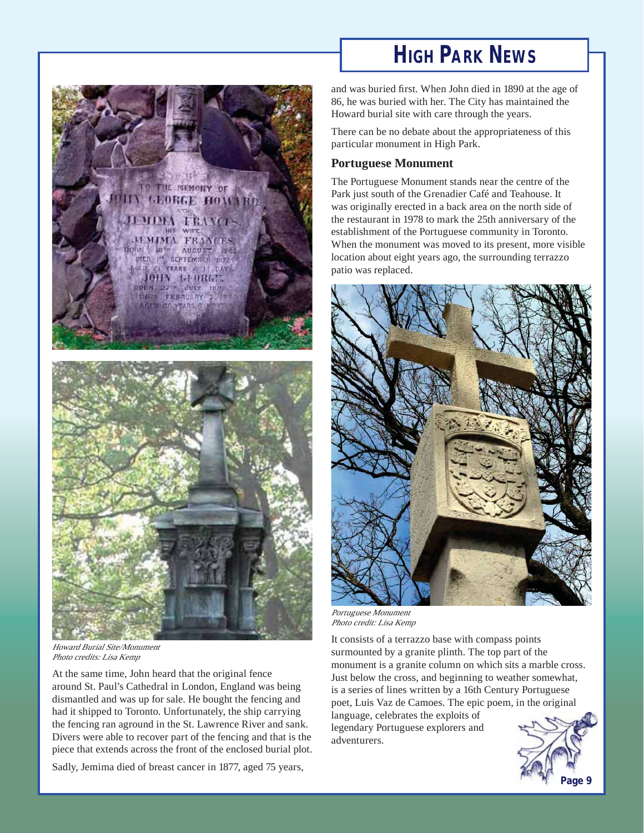

Howard Burial Site/Monument Photo credits: Lisa Kemp

At the same time, John heard that the original fence around St. Paul's Cathedral in London, England was being dismantled and was up for sale. He bought the fencing and had it shipped to Toronto. Unfortunately, the ship carrying the fencing ran aground in the St. Lawrence River and sank. Divers were able to recover part of the fencing and that is the piece that extends across the front of the enclosed burial plot.

Sadly, Jemima died of breast cancer in 1877, aged 75 years,

# **HIGH PARK NEWS**

and was buried first. When John died in 1890 at the age of 86, he was buried with her. The City has maintained the Howard burial site with care through the years.

There can be no debate about the appropriateness of this particular monument in High Park.

#### **Portuguese Monument**

The Portuguese Monument stands near the centre of the Park just south of the Grenadier Café and Teahouse. It was originally erected in a back area on the north side of the restaurant in 1978 to mark the 25th anniversary of the establishment of the Portuguese community in Toronto. When the monument was moved to its present, more visible location about eight years ago, the surrounding terrazzo patio was replaced.



Portuguese Monument Photo credit: Lisa Kemp

It consists of a terrazzo base with compass points surmounted by a granite plinth. The top part of the monument is a granite column on which sits a marble cross. Just below the cross, and beginning to weather somewhat, is a series of lines written by a 16th Century Portuguese poet, Luis Vaz de Camoes. The epic poem, in the original

language, celebrates the exploits of legendary Portuguese explorers and adventurers.